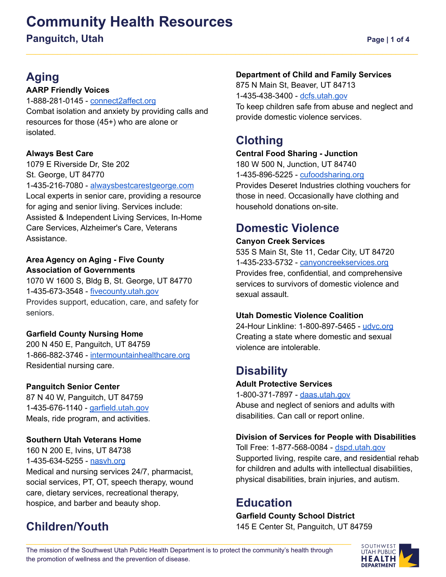# **Community Health Resources Panguitch, Utah Page | 1 of 4**

# **Aging**

## **AARP Friendly Voices**

1-888-281-0145 - [connect2affect.org](https://connect2affect.org/) Combat isolation and anxiety by providing calls and resources for those (45+) who are alone or isolated.

## **Always Best Care**

1079 E Riverside Dr, Ste 202 St. George, UT 84770 1-435-216-7080 - [alwaysbestcarestgeorge.com](http://www.alwaysbestcarestgeorge.com) Local experts in senior care, providing a resource for aging and senior living. Services include: Assisted & Independent Living Services, In-Home Care Services, Alzheimer's Care, Veterans Assistance.

### **Area Agency on Aging - Five County Association of Governments**

1070 W 1600 S, Bldg B, St. George, UT 84770 1-435-673-3548 - [fivecounty.utah.gov](http://www.fivecounty.utah.gov/) Provides support, education, care, and safety for seniors.

## **Garfield County Nursing Home**

200 N 450 E, Panguitch, UT 84759 1-866-882-3746 - [intermountainhealthcare.org](https://intermountainhealthcare.org/locations/location-details/garfield-memorial-hospital/garfield-county-nursing-home/garfield-county-nursing-home/) Residential nursing care.

## **Panguitch Senior Center**

87 N 40 W, Panguitch, UT 84759 1-435-676-1140 - [garfield.utah.gov](https://www.garfield.utah.gov/departments/senior-citizens) Meals, ride program, and activities.

## **Southern Utah Veterans Home**

160 N 200 E, Ivins, UT 84738 1-435-634-5255 - nasyh.org Medical and nursing services 24/7, pharmacist, social services, PT, OT, speech therapy, wound care, dietary services, recreational therapy, hospice, and barber and beauty shop.

# **Children/Youth**

## **Department of Child and Family Services**

875 N Main St, Beaver, UT 84713 1-435-438-3400 - [dcfs.utah.gov](https://dcfs.utah.gov/) To keep children safe from abuse and neglect and provide domestic violence services.

# **Clothing**

## **Central Food Sharing - Junction**

180 W 500 N, Junction, UT 84740 1-435-896-5225 - [cufoodsharing.org](https://www.cufoodsharing.org/) Provides Deseret Industries clothing vouchers for those in need. Occasionally have clothing and household donations on-site.

# **Domestic Violence**

### **Canyon Creek Services**

535 S Main St, Ste 11, Cedar City, UT 84720 1-435-233-5732 - [canyoncreekservices.org](https://canyoncreekservices.org/) Provides free, confidential, and comprehensive services to survivors of domestic violence and sexual assault.

## **Utah Domestic Violence Coalition**

24-Hour Linkline: 1-800-897-5465 - [udvc.org](https://www.udvc.org/) Creating a state where domestic and sexual violence are intolerable.

# **Disability**

### **Adult Protective Services**

1-800-371-7897 - [daas.utah.gov](https://daas.utah.gov/adult-protective-services/) Abuse and neglect of seniors and adults with disabilities. Can call or report online.

## **Division of Services for People with Disabilities**

Toll Free: 1-877-568-0084 - [dspd.utah.gov](https://dspd.utah.gov/) Supported living, respite care, and residential rehab for children and adults with intellectual disabilities, physical disabilities, brain injuries, and autism.

# **Education**

## **Garfield County School District**

145 E Center St, Panguitch, UT 84759

The mission of the Southwest Utah Public Health Department is to protect the community's health through the promotion of wellness and the prevention of disease.

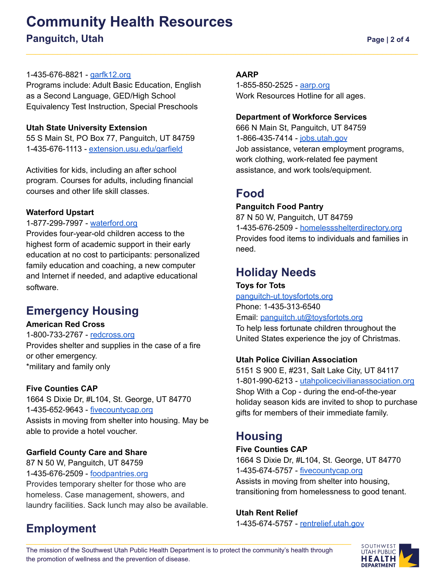# **Community Health Resources Panguitch, Utah Page | 2 of 4**

### 1-435-676-8821 - [garfk12.org](https://www.garfk12.org/)

Programs include: Adult Basic Education, English as a Second Language, GED/High School Equivalency Test Instruction, Special Preschools

### **Utah State University Extension**

55 S Main St, PO Box 77, Panguitch, UT 84759 1-435-676-1113 - [extension.usu.edu/garfield](https://extension.usu.edu/garfield)

Activities for kids, including an after school program. Courses for adults, including financial courses and other life skill classes.

### **Waterford Upstart**

#### 1-877-299-7997 - [waterford.org](https://www.waterford.org/)

Provides four-year-old children access to the highest form of academic support in their early education at no cost to participants: personalized family education and coaching, a new computer and Internet if needed, and adaptive educational software.

# **Emergency Housing**

### **American Red Cross**

1-800-733-2767 - [redcross.org](https://www.redcross.org/local/utah/about-us.html) Provides shelter and supplies in the case of a fire or other emergency. \*military and family only

#### **Five Counties CAP**

**Employment**

1664 S Dixie Dr, #L104, St. George, UT 84770 1-435-652-9643 - [fivecountycap.org](https://fivecountycap.org/cap-programs/rapid-rehousing/) Assists in moving from shelter into housing. May be able to provide a hotel voucher.

### **Garfield County Care and Share**

87 N 50 W, Panguitch, UT 84759 1-435-676-2509 - [foodpantries.org](https://www.foodpantries.org/) Provides temporary shelter for those who are homeless. Case management, showers, and laundry facilities. Sack lunch may also be available.

#### **AARP**

1-855-850-2525 - [aarp.org](https://www.aarp.org/aarp-foundation/our-work/income/) Work Resources Hotline for all ages.

#### **Department of Workforce Services**

666 N Main St, Panguitch, UT 84759 1-866-435-7414 - [jobs.utah.gov](https://jobs.utah.gov/) Job assistance, veteran employment programs, work clothing, work-related fee payment assistance, and work tools/equipment.

## **Food**

### **Panguitch Food Pantry**

87 N 50 W, Panguitch, UT 84759 1-435-676-2509 - [homelessshelterdirectory.org](https://www.homelessshelterdirectory.org/foodbank/ut_panguitch-care-and-share) Provides food items to individuals and families in need.

# **Holiday Needs**

**Toys for Tots** [panguitch-ut.toysfortots.org](https://panguitch-ut.toysfortots.org/local-coordinator-sites/lco-sites/default.aspx?nPageID=100&nPreviewInd=200&nRedirectInd=3) Phone: 1-435-313-6540 Email: [panguitch.ut@toysfortots.org](mailto:panguitch.ut@toysfortots.org) To help less fortunate children throughout the United States experience the joy of Christmas.

### **Utah Police Civilian Association**

5151 S 900 E, #231, Salt Lake City, UT 84117 1-801-990-6213 - [utahpolicecivilianassociation.org](https://utahpolicecivilianassociation.org/) Shop With a Cop - during the end-of-the-year holiday season kids are invited to shop to purchase gifts for members of their immediate family.

## **Housing**

### **Five Counties CAP**

1664 S Dixie Dr, #L104, St. George, UT 84770 1-435-674-5757 - [fivecountycap.org](https://fivecountycap.org/cap-programs/rapid-rehousing/) Assists in moving from shelter into housing, transitioning from homelessness to good tenant.

#### **Utah Rent Relief**

1-435-674-5757 - [rentrelief.utah.gov](https://rentrelief.utah.gov/)

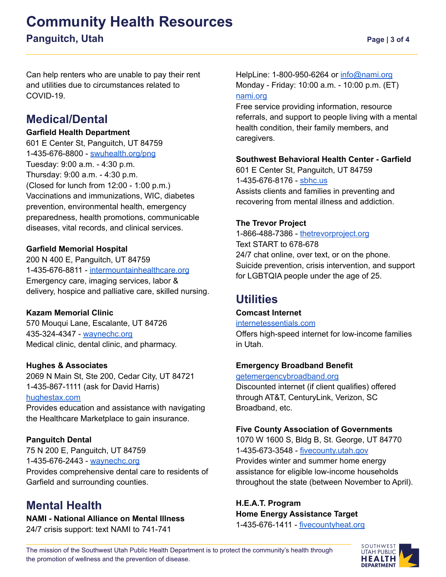# **Community Health Resources Panguitch, Utah Page | 3 of 4**

Can help renters who are unable to pay their rent and utilities due to circumstances related to COVID-19.

# **Medical/Dental**

### **Garfield Health Department**

601 E Center St, Panguitch, UT 84759 1-435-676-8800 - [swuhealth.org/png](https://swuhealth.org/png/) Tuesday: 9:00 a.m. - 4:30 p.m. Thursday: 9:00 a.m. - 4:30 p.m. (Closed for lunch from 12:00 - 1:00 p.m.) Vaccinations and immunizations, WIC, diabetes prevention, environmental health, emergency preparedness, health promotions, communicable diseases, vital records, and clinical services.

### **Garfield Memorial Hospital**

200 N 400 E, Panguitch, UT 84759 1-435-676-8811 - [intermountainhealthcare.org](https://intermountainhealthcare.org/locations/garfield-memorial-hospital/) Emergency care, imaging services, labor & delivery, hospice and palliative care, skilled nursing.

### **Kazam Memorial Clinic**

570 Mouqui Lane, Escalante, UT 84726 435-324-4347 - [waynechc.org](https://waynechc.org/locations/escalante/) Medical clinic, dental clinic, and pharmacy.

## **Hughes & Associates**

2069 N Main St, Ste 200, Cedar City, UT 84721 1-435-867-1111 (ask for David Harris) [hughestax.com](http://www.hughestax.com/)

Provides education and assistance with navigating the Healthcare Marketplace to gain insurance.

## **Panguitch Dental**

75 N 200 E, Panguitch, UT 84759 1-435-676-2443 - [waynechc.org](https://waynechc.org/locations/panguitch/) Provides comprehensive dental care to residents of Garfield and surrounding counties.

# **Mental Health**

**NAMI - National Alliance on Mental Illness** 24/7 crisis support: text NAMI to 741-741

HelpLine: 1-800-950-6264 or [info@nami.org](mailto:info@nami.org) Monday - Friday: 10:00 a.m. - 10:00 p.m. (ET) [nami.org](https://www.nami.org/Home)

Free service providing information, resource referrals, and support to people living with a mental health condition, their family members, and caregivers.

### **Southwest Behavioral Health Center - Garfield**

601 E Center St, Panguitch, UT 84759 1-435-676-8176 - [sbhc.us](http://www.sbhc.us/) Assists clients and families in preventing and recovering from mental illness and addiction.

### **The Trevor Project**

1-866-488-7386 - [thetrevorproject.org](https://www.thetrevorproject.org/) Text START to 678-678 24/7 chat online, over text, or on the phone. Suicide prevention, crisis intervention, and support for LGBTQIA people under the age of 25.

# **Utilities**

### **Comcast Internet**

### [internetessentials.com](https://www.internetessentials.com/)

Offers high-speed internet for low-income families in Utah.

### **Emergency Broadband Benefit**

### [getemergencybroadband.org](https://getemergencybroadband.org/)

Discounted internet (if client qualifies) offered through AT&T, CenturyLink, Verizon, SC Broadband, etc.

### **Five County Association of Governments**

1070 W 1600 S, Bldg B, St. George, UT 84770 1-435-673-3548 - [fivecounty.utah.gov](http://www.fivecounty.utah.gov/) Provides winter and summer home energy assistance for eligible low-income households throughout the state (between November to April).

# **H.E.A.T. Program Home Energy Assistance Target**

1-435-676-1411 - [fivecountyheat.org](https://fivecountyheat.org)